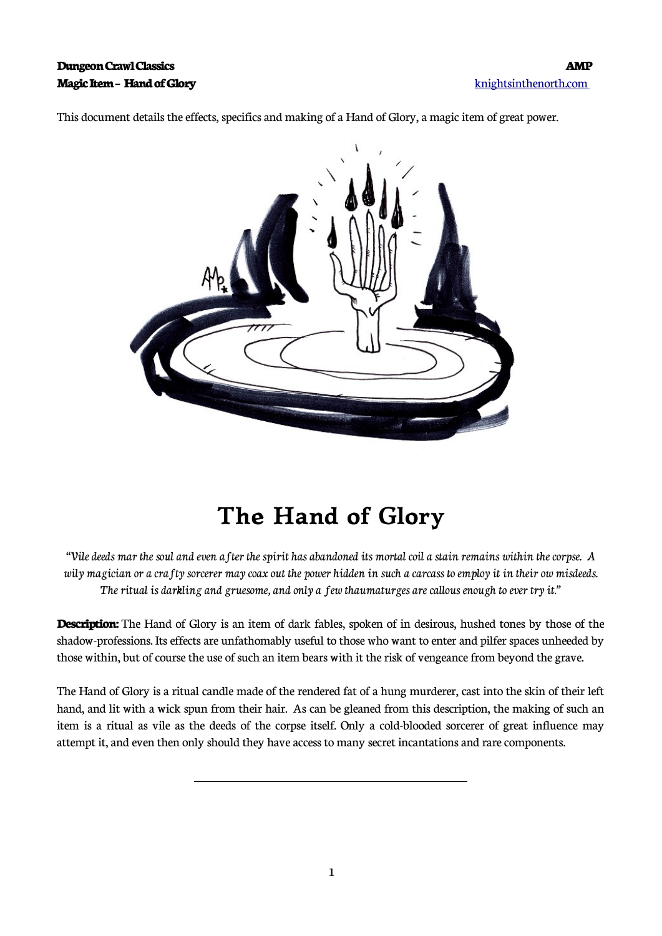This document details the effects, specifics and making of a Hand of Glory, a magic item of great power.



## **The Hand of Glory**

"Vile deeds mar the soul and even after the spirit has abandoned its mortal coil a stain remains within the corpse. A wily magician or a crafty sorcerer may coax out the power hidden in such a carcass to employ it in their ow misdeeds. The ritual is darkling and gruesome, and only a few thaumaturges are callous enough to ever try it."

**Description:** The Hand of Glory is an item of dark fables, spoken of in desirous, hushed tones by those of the shadow-professions. Its effects are unfathomably useful to those who want to enter and pilfer spaces unheeded by those within, but of course the use of such an item bears with it the risk of vengeance from beyond the grave.

The Hand of Glory is a ritual candle made of the rendered fat of a hung murderer, cast into the skin of their left hand, and lit with a wick spun from their hair. As can be gleaned from this description, the making of such an item is a ritual as vile as the deeds of the corpse itself. Only a cold-blooded sorcerer of great influence may attempt it, and even then only should they have access to many secret incantations and rare components.

 $\overline{a}$